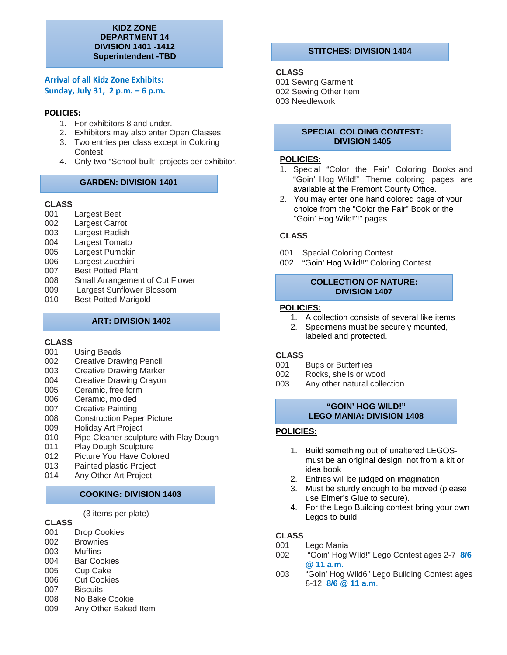#### **KIDZ ZONE DEPARTMENT 14 DIVISION 1401 -1412 Superintendent -TBD**

## **Arrival of all Kidz Zone Exhibits: Sunday, July 31, 2 p.m. – 6 p.m.**

## **POLICIES:**

- 1. For exhibitors 8 and under.
- 2. Exhibitors may also enter Open Classes.
- 3. Two entries per class except in Coloring **Contest**
- 4. Only two "School built" projects per exhibitor.

## **GARDEN: DIVISION 1401**

# **CLASS**

- Largest Beet
- 002 Largest Carrot
- 003 Largest Radish<br>004 Largest Tomato
- Largest Tomato
- 005 Largest Pumpkin
- 006 Largest Zucchini
- 007 Best Potted Plant
- 008 Small Arrangement of Cut Flower
- 009 Largest Sunflower Blossom<br>010 Best Potted Marigold
- Best Potted Marigold

## **ART: DIVISION 1402**

## **CLASS**

- 001 Using Beads
- 002 Creative Drawing Pencil<br>003 Creative Drawing Marker
- **Creative Drawing Marker**
- 004 Creative Drawing Crayon
- 005 Ceramic, free form
- 006 Ceramic, molded<br>007 Creative Painting
- 007 Creative Painting<br>008 Construction Pape
- 008 Construction Paper Picture<br>009 Holiday Art Proiect
- Holiday Art Project
- 010 Pipe Cleaner sculpture with Play Dough
- 011 Play Dough Sculpture
- 012 Picture You Have Colored
- 013 Painted plastic Project
- 014 Any Other Art Project

## **COOKING: DIVISION 1403**

(3 items per plate)

## **CLASS**

- 001 Drop Cookies<br>002 Brownies
- **Brownies**
- 003 Muffins
- 004 Bar Cookies<br>005 Cup Cake
- **Cup Cake**
- 006 Cut Cookies
- 007 Biscuits<br>008 No Bake
- No Bake Cookie
- 009 Any Other Baked Item

## **STITCHES: DIVISION 1404**

## **CLASS**

001 Sewing Garment 002 Sewing Other Item 003 Needlework

#### **SPECIAL COLOING CONTEST: DIVISION 1405**

### **POLICIES:**

- 1. Special "Color the Fair' Coloring Books and "Goin' Hog Wild!" Theme coloring pages are available at the Fremont County Office.
- 2. You may enter one hand colored page of your choice from the "Color the Fair" Book or the "Goin' Hog Wild!"!" pages

## **CLASS**

- 001 Special Coloring Contest
- 002 "Goin' Hog Wild!!" Coloring Contest

## **COLLECTION OF NATURE: DIVISION 1407**

#### **POLICIES:**

- 1. A collection consists of several like items
- 2. Specimens must be securely mounted, labeled and protected.

## **CLASS**

- 001 Bugs or Butterflies<br>002 Rocks, shells or wo
- Rocks, shells or wood
- 003 Any other natural collection

## **"GOIN' HOG WILD!" LEGO MANIA: DIVISION 1408**

## **POLICIES:**

- 1. Build something out of unaltered LEGOSmust be an original design, not from a kit or idea book
- 2. Entries will be judged on imagination
- 3. Must be sturdy enough to be moved (please use Elmer's Glue to secure).
- 4. For the Lego Building contest bring your own Legos to build

# **CLASS**

- 001 Lego Mania<br>002 "Goin' Hog
- 002 "Goin' Hog WIld!" Lego Contest ages 2-7 **8/6 @ 11 a.m.**
- 003 "Goin' Hog Wild6" Lego Building Contest ages 8-12 **8/6 @ 11 a.m**.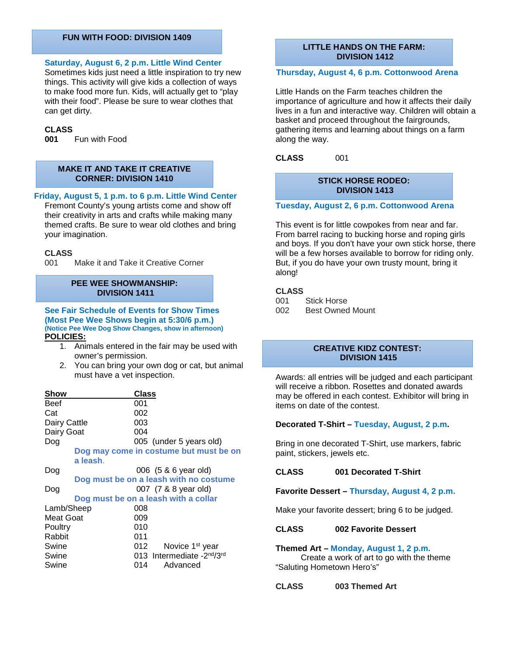#### **FUN WITH FOOD: DIVISION 1409**

#### **Saturday, August 6, 2 p.m. Little Wind Center**

Sometimes kids just need a little inspiration to try new things. This activity will give kids a collection of ways to make food more fun. Kids, will actually get to "play with their food". Please be sure to wear clothes that can get dirty.

# **CLASS**

**001** Fun with Food

#### **MAKE IT AND TAKE IT CREATIVE CORNER: DIVISION 1410**

#### **Friday, August 5, 1 p.m. to 6 p.m. Little Wind Center**

Fremont County's young artists come and show off their creativity in arts and crafts while making many themed crafts. Be sure to wear old clothes and bring your imagination.

#### **CLASS**

001 Make it and Take it Creative Corner

#### **PEE WEE SHOWMANSHIP: DIVISION 1411**

**See Fair Schedule of Events for Show Times (Most Pee Wee Shows begin at 5:30/6 p.m.) (Notice Pee Wee Dog Show Changes, show in afternoon) POLICIES:**

- 1. Animals entered in the fair may be used with owner's permission.
- 2. You can bring your own dog or cat, but animal must have a vet inspection.

| Show         | Class                                               |
|--------------|-----------------------------------------------------|
| Beef         | 001                                                 |
| Cat          | 002                                                 |
| Dairy Cattle | 003                                                 |
| Dairy Goat   | 004                                                 |
| Dog          | 005 (under 5 years old)                             |
|              | Dog may come in costume but must be on              |
|              | a leash.                                            |
| Dog          | 006 (5 & 6 year old)                                |
|              | Dog must be on a leash with no costume              |
| Dog          | 007 (7 & 8 year old)                                |
|              | Dog must be on a leash with a collar                |
| Lamb/Sheep   | 008                                                 |
| Meat Goat    | 009                                                 |
| Poultry      | 010                                                 |
| Rabbit       | 011                                                 |
| Swine        | 012<br>Novice 1 <sup>st</sup> year                  |
| Swine        | 013 Intermediate - 2 <sup>nd</sup> /3 <sup>rd</sup> |
| Swine        | 014<br>Advanced                                     |

#### **LITTLE HANDS ON THE FARM: DIVISION 1412**

#### **Thursday, August 4, 6 p.m. Cottonwood Arena**

Little Hands on the Farm teaches children the importance of agriculture and how it affects their daily lives in a fun and interactive way. Children will obtain a basket and proceed throughout the fairgrounds, gathering items and learning about things on a farm along the way.

**CLASS** 001

### **STICK HORSE RODEO: DIVISION 1413**

**Tuesday, August 2, 6 p.m. Cottonwood Arena**

This event is for little cowpokes from near and far. From barrel racing to bucking horse and roping girls and boys. If you don't have your own stick horse, there will be a few horses available to borrow for riding only. But, if you do have your own trusty mount, bring it along!

### **CLASS**

- 001 Stick Horse
- 002 Best Owned Mount

#### **CREATIVE KIDZ CONTEST: DIVISION 1415**

Awards: all entries will be judged and each participant will receive a ribbon. Rosettes and donated awards may be offered in each contest. Exhibitor will bring in items on date of the contest.

#### **Decorated T-Shirt – Tuesday, August, 2 p.m.**

Bring in one decorated T-Shirt, use markers, fabric paint, stickers, jewels etc.

#### **CLASS 001 Decorated T-Shirt**

**Favorite Dessert – Thursday, August 4, 2 p.m.**

Make your favorite dessert; bring 6 to be judged.

#### **CLASS 002 Favorite Dessert**

#### **Themed Art – Monday, August 1, 2 p.m.**

 Create a work of art to go with the theme "Saluting Hometown Hero's"

**CLASS 003 Themed Art**